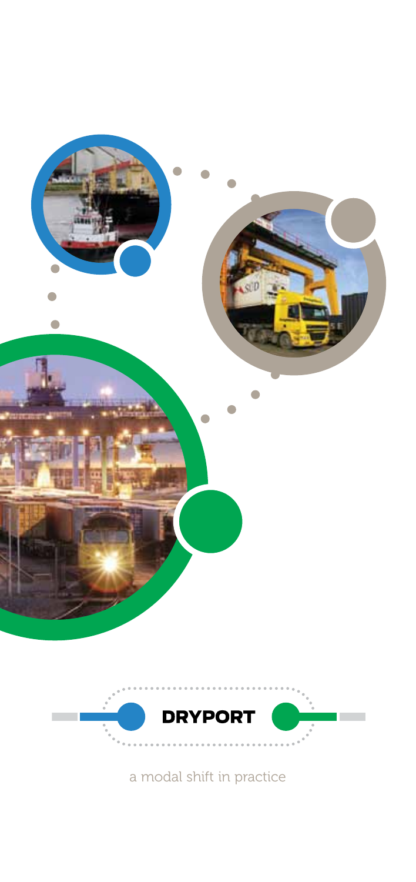



a modal shift in practice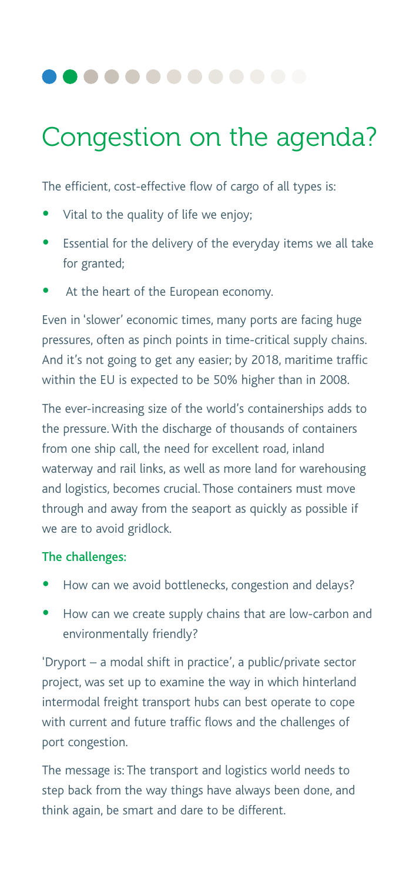### ..........

# Congestion on the agenda?

The efficient, cost-effective flow of cargo of all types is:

- Vital to the quality of life we enjoy;
- Essential for the delivery of the everyday items we all take for granted;
- At the heart of the European economy.

Even in 'slower' economic times, many ports are facing huge pressures, often as pinch points in time-critical supply chains. And it's not going to get any easier; by 2018, maritime traffic within the EU is expected to be 50% higher than in 2008.

The ever-increasing size of the world's containerships adds to the pressure. With the discharge of thousands of containers from one ship call, the need for excellent road, inland waterway and rail links, as well as more land for warehousing and logistics, becomes crucial. Those containers must move through and away from the seaport as quickly as possible if we are to avoid gridlock.

#### The challenges:

- How can we avoid bottlenecks, congestion and delays?
- How can we create supply chains that are low-carbon and environmentally friendly?

'Dryport – a modal shift in practice', a public/private sector project, was set up to examine the way in which hinterland intermodal freight transport hubs can best operate to cope with current and future traffic flows and the challenges of port congestion.

The message is: The transport and logistics world needs to step back from the way things have always been done, and think again, be smart and dare to be different.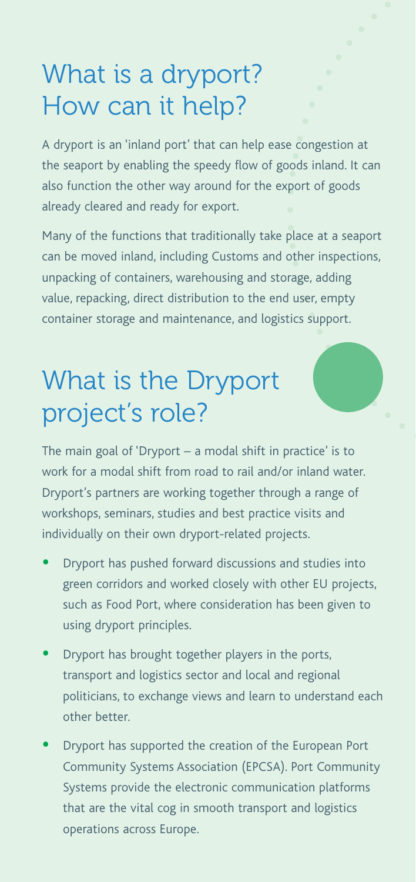# What is a dryport? How can it help?

A dryport is an 'inland port' that can help ease congestion at the seaport by enabling the speedy flow of goods inland. It can also function the other way around for the export of goods already cleared and ready for export.

Many of the functions that traditionally take place at a seaport can be moved inland, including Customs and other inspections, unpacking of containers, warehousing and storage, adding value, repacking, direct distribution to the end user, empty container storage and maintenance, and logistics support.

# What is the Dryport project's role?

The main goal of 'Dryport – a modal shift in practice' is to work for a modal shift from road to rail and/or inland water. Dryport's partners are working together through a range of workshops, seminars, studies and best practice visits and individually on their own dryport-related projects.

- Dryport has pushed forward discussions and studies into green corridors and worked closely with other EU projects, such as Food Port, where consideration has been given to using dryport principles.
- Dryport has brought together players in the ports, transport and logistics sector and local and regional politicians, to exchange views and learn to understand each other better.
- Dryport has supported the creation of the European Port Community Systems Association (EPCSA). Port Community Systems provide the electronic communication platforms that are the vital cog in smooth transport and logistics operations across Europe.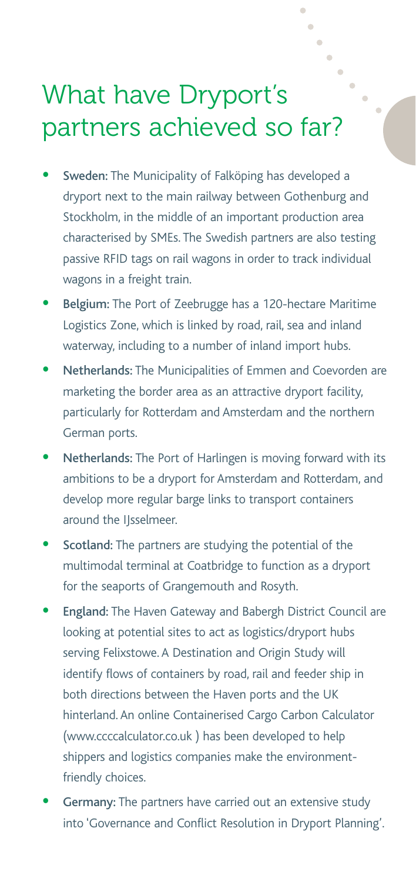### What have Dryport's partners achieved so far?

- Sweden: The Municipality of Falköping has developed a dryport next to the main railway between Gothenburg and Stockholm, in the middle of an important production area characterised by SMEs. The Swedish partners are also testing passive RFID tags on rail wagons in order to track individual wagons in a freight train.
- Belgium: The Port of Zeebrugge has a 120-hectare Maritime Logistics Zone, which is linked by road, rail, sea and inland waterway, including to a number of inland import hubs.
- Netherlands: The Municipalities of Emmen and Coevorden are marketing the border area as an attractive dryport facility, particularly for Rotterdam and Amsterdam and the northern German ports.
- Netherlands: The Port of Harlingen is moving forward with its ambitions to be a dryport for Amsterdam and Rotterdam, and develop more regular barge links to transport containers around the IJsselmeer.
- Scotland: The partners are studying the potential of the multimodal terminal at Coatbridge to function as a dryport for the seaports of Grangemouth and Rosyth.
- England: The Haven Gateway and Babergh District Council are looking at potential sites to act as logistics/dryport hubs serving Felixstowe. A Destination and Origin Study will identify flows of containers by road, rail and feeder ship in both directions between the Haven ports and the UK hinterland. An online Containerised Cargo Carbon Calculator (www.ccccalculator.co.uk ) has been developed to help shippers and logistics companies make the environmentfriendly choices.
- Germany: The partners have carried out an extensive study into 'Governance and Conflict Resolution in Dryport Planning'.